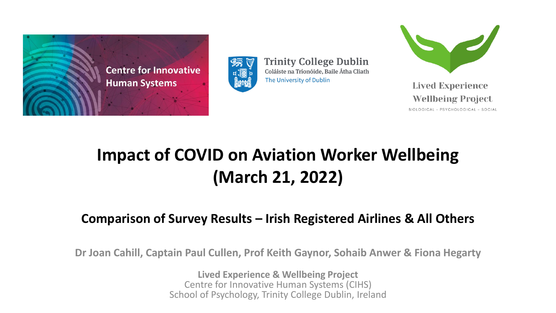



**Trinity College Dublin** Coláiste na Tríonóide, Baile Átha Cliath The University of Dublin



**Lived Experience Wellbeing Project** 

BIOLOGICAL - PSYCHOLOGICAL - SOCIAL

#### **Impact of COVID on Aviation Worker Wellbeing (March 21, 2022)**

#### **Comparison of Survey Results – Irish Registered Airlines & All Others**

**Dr Joan Cahill, Captain Paul Cullen, Prof Keith Gaynor, Sohaib Anwer & Fiona Hegarty**

**Lived Experience & Wellbeing Project** Centre for Innovative Human Systems (CIHS) School of Psychology, Trinity College Dublin, Ireland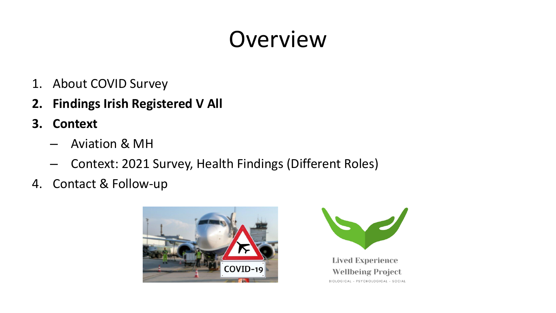## Overview

- 1. About COVID Survey
- **2. Findings Irish Registered V All**
- **3. Context**
	- Aviation & MH
	- Context: 2021 Survey, Health Findings (Different Roles)
- 4. Contact & Follow-up

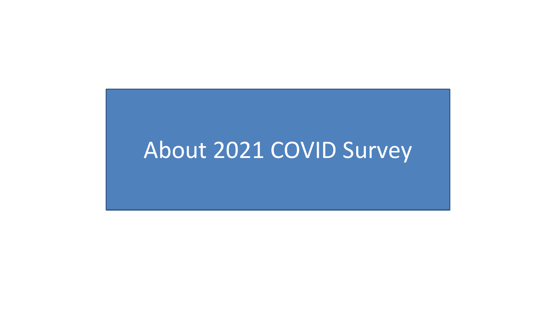#### About 2021 COVID Survey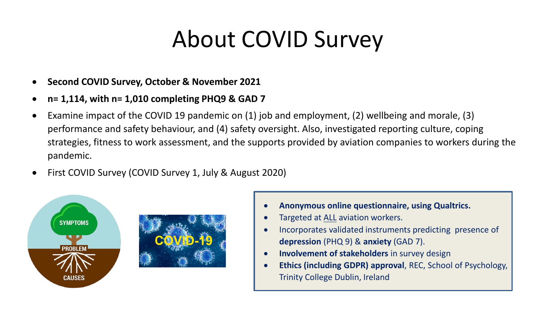## About COVID Survey

- **Second COVID Survey, October & November 2021**
- **n= 1,114, with n= 1,010 completing PHQ9 & GAD 7**
- Examine impact of the COVID 19 pandemic on (1) job and employment, (2) wellbeing and morale, (3) performance and safety behaviour, and (4) safety oversight. Also, investigated reporting culture, coping strategies, fitness to work assessment, and the supports provided by aviation companies to workers during the pandemic.
- First COVID Survey (COVID Survey 1, July & August 2020)





- Targeted at ALL aviation workers.
- Incorporates validated instruments predicting presence of **depression** (PHQ 9) & **anxiety** (GAD 7).
- **Involvement of stakeholders** in survey design
- **Ethics (including GDPR) approval**, REC, School of Psychology, Trinity College Dublin, Ireland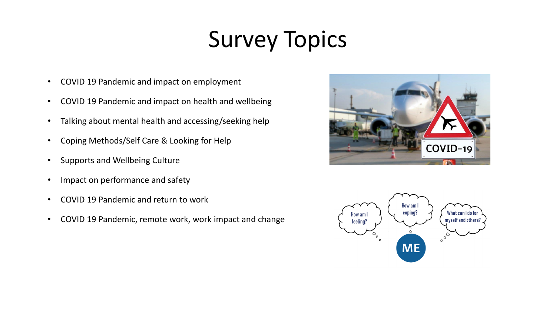# Survey Topics

- COVID 19 Pandemic and impact on employment
- COVID 19 Pandemic and impact on health and wellbeing
- Talking about mental health and accessing/seeking help
- Coping Methods/Self Care & Looking for Help
- Supports and Wellbeing Culture
- Impact on performance and safety
- COVID 19 Pandemic and return to work
- COVID 19 Pandemic, remote work, work impact and change



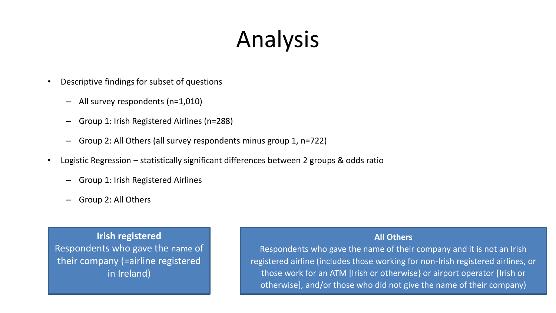# Analysis

- Descriptive findings for subset of questions
	- All survey respondents (n=1,010)
	- Group 1: Irish Registered Airlines (n=288)
	- Group 2: All Others (all survey respondents minus group 1, n=722)
- Logistic Regression statistically significant differences between 2 groups & odds ratio
	- Group 1: Irish Registered Airlines
	- Group 2: All Others

**Irish registered** Respondents who gave the name of their company (=airline registered in Ireland)

#### **All Others**

Respondents who gave the name of their company and it is not an Irish registered airline (includes those working for non-Irish registered airlines, or those work for an ATM [Irish or otherwise} or airport operator [Irish or otherwise], and/or those who did not give the name of their company)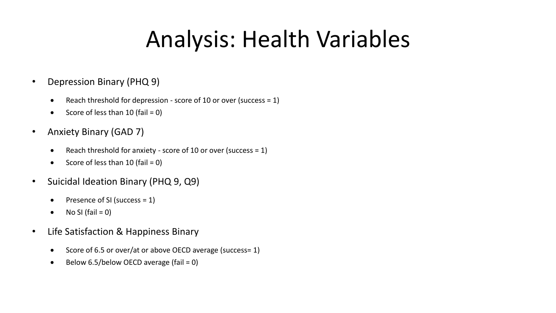## Analysis: Health Variables

- Depression Binary (PHQ 9)
	- Reach threshold for depression score of 10 or over (success =  $1$ )
	- Score of less than  $10$  (fail = 0)
- Anxiety Binary (GAD 7)
	- Reach threshold for anxiety score of 10 or over (success  $= 1$ )
	- Score of less than  $10$  (fail = 0)
- Suicidal Ideation Binary (PHQ 9, Q9)
	- Presence of SI (success  $= 1$ )
	- No SI (fail  $= 0$ )
- Life Satisfaction & Happiness Binary
	- Score of 6.5 or over/at or above OECD average (success= 1)
	- Below 6.5/below OECD average (fail =  $0$ )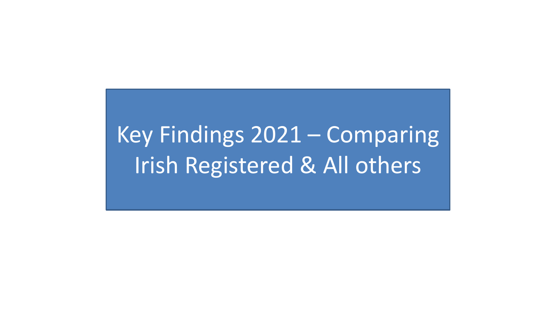# Key Findings 2021 – Comparing Irish Registered & All others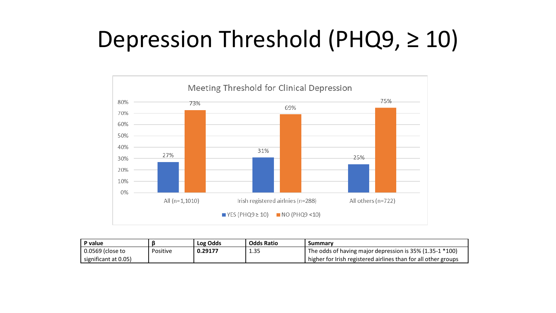## Depression Threshold (PHQ9, ≥ 10)



| P value                |          | Log Odds | <b>Odds Ratio</b> | Summary                                                        |
|------------------------|----------|----------|-------------------|----------------------------------------------------------------|
| 0.0569 (close to       | Positive | 0.29177  | 1.35              | The odds of having major depression is 35% (1.35-1 *100)       |
| I significant at 0.05) |          |          |                   | higher for Irish registered airlines than for all other groups |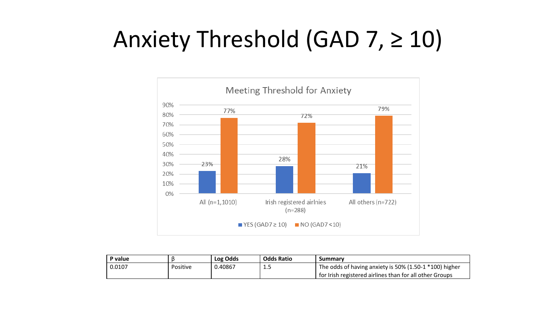## Anxiety Threshold (GAD 7, ≥ 10)



| P value |          | Log Odds | <b>Odds Ratio</b> | Summary                                                   |
|---------|----------|----------|-------------------|-----------------------------------------------------------|
| 0.0107  | Positive | 0.40867  | <b></b>           | The odds of having anxiety is 50% (1.50-1 $*100$ ) higher |
|         |          |          |                   | for Irish registered airlines than for all other Groups   |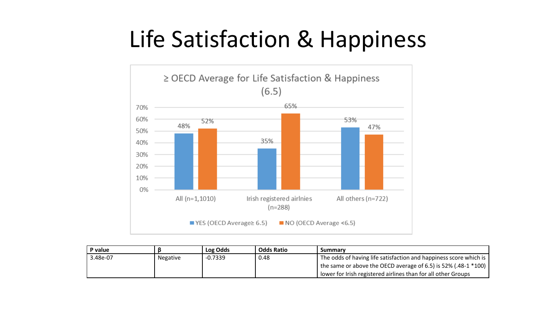## Life Satisfaction & Happiness



| P value  |                 | Log Odds  | <b>Odds Ratio</b> | Summary                                                           |
|----------|-----------------|-----------|-------------------|-------------------------------------------------------------------|
| 3.48e-07 | <b>Negative</b> | $-0.7339$ | 0.48              | The odds of having life satisfaction and happiness score which is |
|          |                 |           |                   | the same or above the OECD average of 6.5) is 52% (.48-1 $*100$ ) |
|          |                 |           |                   | lower for Irish registered airlines than for all other Groups     |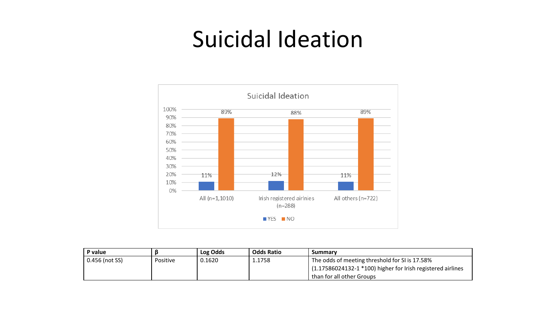#### Suicidal Ideation



| P value        |          | Log Odds | <b>Odds Ratio</b> | Summary                                                          |
|----------------|----------|----------|-------------------|------------------------------------------------------------------|
| 0.456 (not SS) | Positive | 0.1620   | 1.1758            | The odds of meeting threshold for SI is 17.58%                   |
|                |          |          |                   | $(1.17586024132 - 1 * 100)$ higher for Irish registered airlines |
|                |          |          |                   | than for all other Groups '                                      |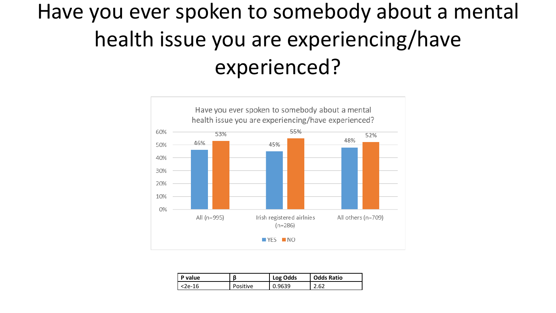## Have you ever spoken to somebody about a mental health issue you are experiencing/have experienced?



| P value  |          | Log Odds | <b>Odds Ratio</b> |
|----------|----------|----------|-------------------|
| l <2e-16 | Positive | 0.9639   | 2.62              |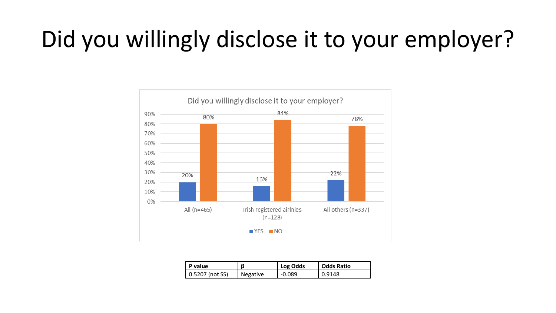# Did you willingly disclose it to your employer?



| l P value         | ß        | Log Odds | <b>Odds Ratio</b> |
|-------------------|----------|----------|-------------------|
| l 0.5207 (not SS) | Negative | -0.089   | 0.9148            |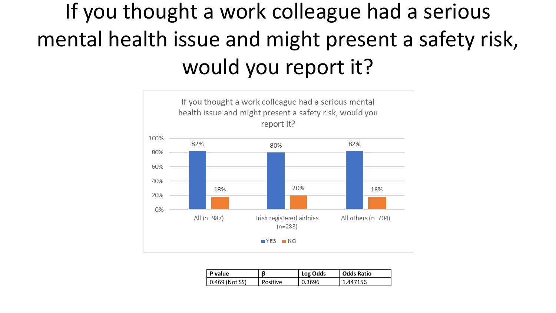## If you thought a work colleague had a serious mental health issue and might present a safety risk, would you report it?



| P value           | ß        | Log Odds | Odds Ratio             |
|-------------------|----------|----------|------------------------|
| (Not SS)<br>0.469 | Positive | 3696     | 156<br>$\Delta\Lambda$ |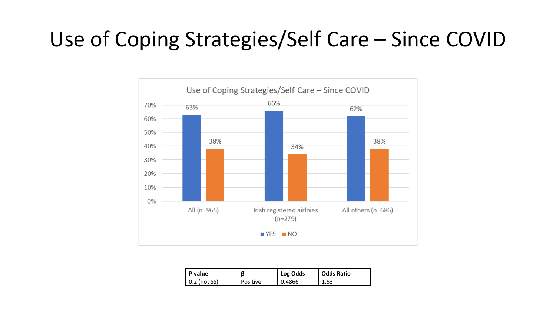#### Use of Coping Strategies/Self Care – Since COVID



| P value              |          | Log Odds | <b>Odds Ratio</b> |
|----------------------|----------|----------|-------------------|
| $\vert$ 0.2 (not SS) | Positive | 0.4866   | 1.63              |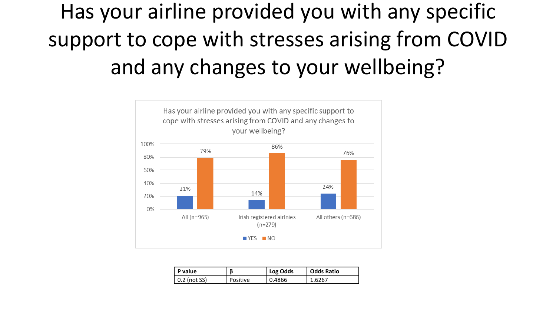## Has your airline provided you with any specific support to cope with stresses arising from COVID and any changes to your wellbeing?



| P value              |          | Log Odds | <b>Odds Ratio</b> |
|----------------------|----------|----------|-------------------|
| $\vert$ 0.2 (not SS) | Positive | 0.4866   | 1.6267            |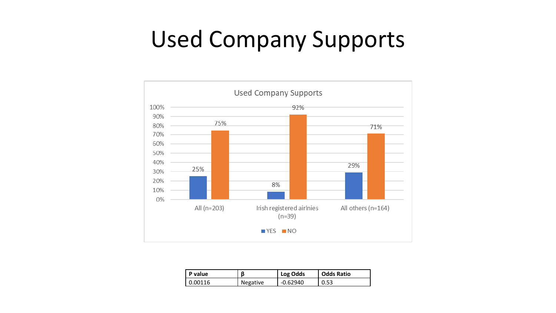#### Used Company Supports



| P value   | ß        | Log Odds   | <b>Odds Ratio</b> |
|-----------|----------|------------|-------------------|
| l 0.00116 | Negative | $-0.62940$ | 0.53              |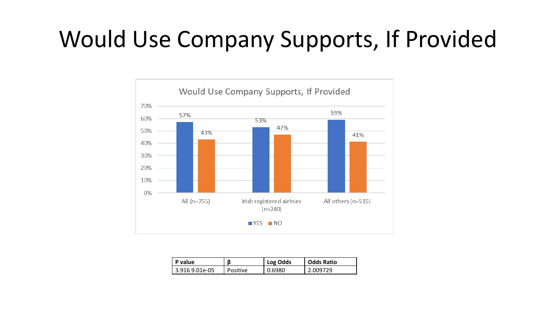## Would Use Company Supports, If Provided



| P value        |          | Log Odds | <b>Odds Ratio</b> |
|----------------|----------|----------|-------------------|
| 3.916 9.01e-05 | Positive | 0.6980   | 2.009729          |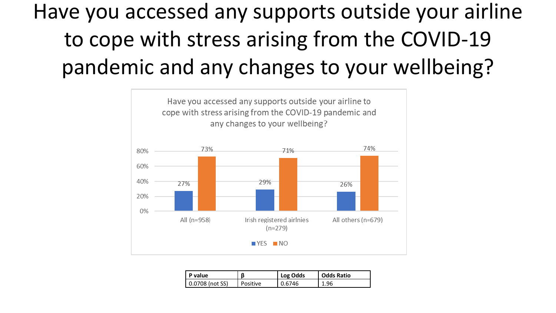## Have you accessed any supports outside your airline to cope with stress arising from the COVID-19 pandemic and any changes to your wellbeing?



| P value                 |          | Log Odds | <b>Odds Ratio</b> |
|-------------------------|----------|----------|-------------------|
| $\vert$ 0.0708 (not SS) | Positive | 0.6746   | 1.96              |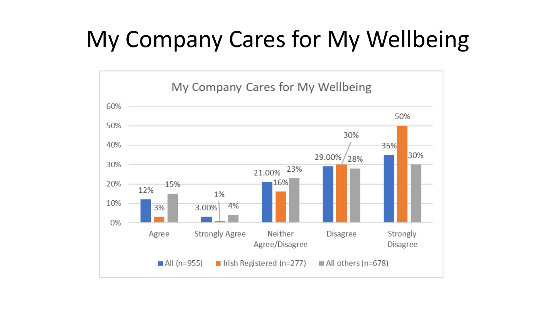# My Company Cares for My Wellbeing

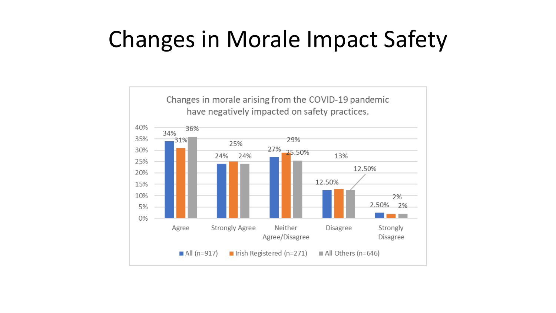## Changes in Morale Impact Safety

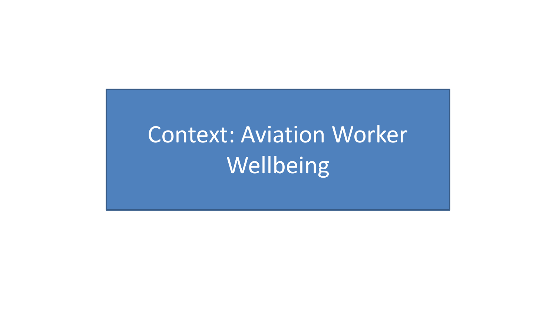# Context: Aviation Worker Wellbeing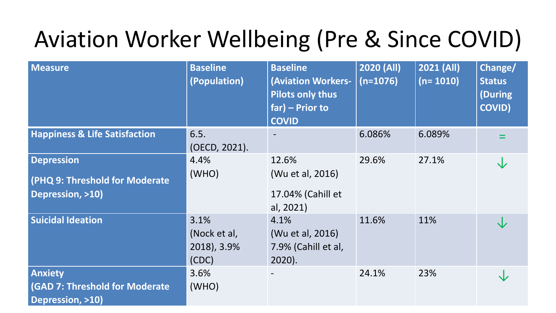## Aviation Worker Wellbeing (Pre & Since COVID)

| <b>Measure</b>                                                                 | <b>Baseline</b><br>(Population)              | <b>Baseline</b><br><b>(Aviation Workers-</b><br><b>Pilots only thus</b><br>$far$ ) – Prior to<br><b>COVID</b> | 2020 (All)<br>$(n=1076)$ | 2021 (All)<br>$(n=1010)$ | Change/<br><b>Status</b><br>During)<br><b>COVID)</b> |
|--------------------------------------------------------------------------------|----------------------------------------------|---------------------------------------------------------------------------------------------------------------|--------------------------|--------------------------|------------------------------------------------------|
| <b>Happiness &amp; Life Satisfaction</b>                                       | 6.5.<br>(OECD, 2021).                        |                                                                                                               | 6.086%                   | 6.089%                   |                                                      |
| <b>Depression</b><br>(PHQ 9: Threshold for Moderate<br>Depression, >10)        | 4.4%<br>(WHO)                                | 12.6%<br>(Wu et al, 2016)<br>17.04% (Cahill et<br>al, 2021)                                                   | 29.6%                    | 27.1%                    |                                                      |
| <b>Suicidal Ideation</b>                                                       | 3.1%<br>(Nock et al,<br>2018), 3.9%<br>(CDC) | 4.1%<br>(Wu et al, 2016)<br>7.9% (Cahill et al,<br>$2020$ ).                                                  | 11.6%                    | 11%                      |                                                      |
| <b>Anxiety</b><br>(GAD 7: Threshold for Moderate<br><b>Depression, &gt;10)</b> | 3.6%<br>(WHO)                                |                                                                                                               | 24.1%                    | 23%                      |                                                      |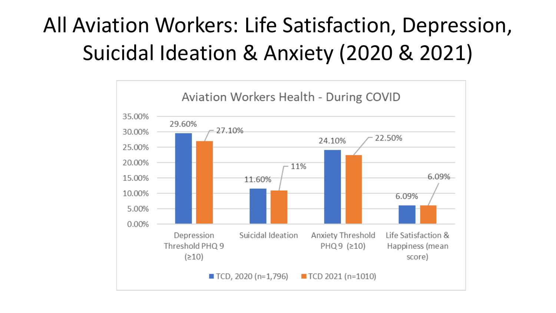## All Aviation Workers: Life Satisfaction, Depression, Suicidal Ideation & Anxiety (2020 & 2021)

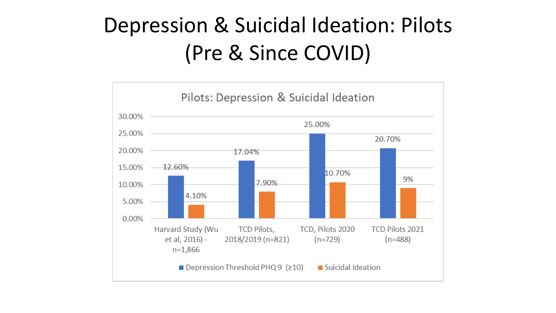#### Depression & Suicidal Ideation: Pilots (Pre & Since COVID)

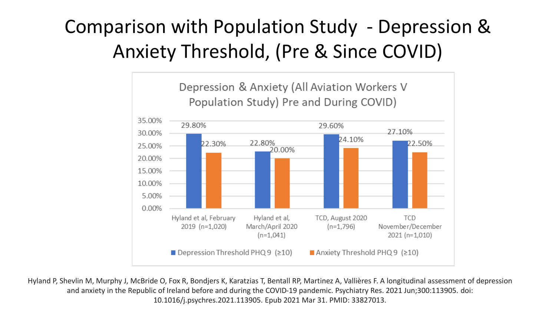#### Comparison with Population Study - Depression & Anxiety Threshold, (Pre & Since COVID)



Hyland P, Shevlin M, Murphy J, McBride O, Fox R, Bondjers K, Karatzias T, Bentall RP, Martinez A, Vallières F. A longitudinal assessment of depression and anxiety in the Republic of Ireland before and during the COVID-19 pandemic. Psychiatry Res. 2021 Jun;300:113905. doi: 10.1016/j.psychres.2021.113905. Epub 2021 Mar 31. PMID: 33827013.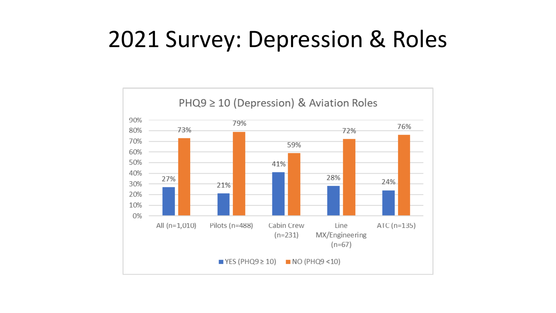### 2021 Survey: Depression & Roles

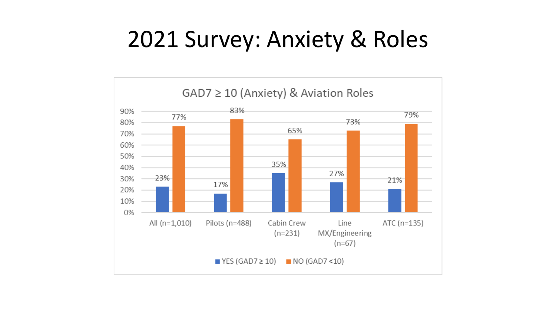## 2021 Survey: Anxiety & Roles

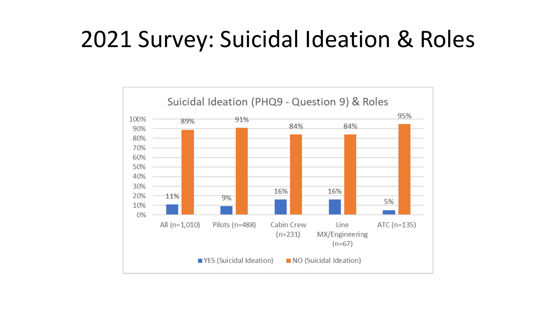#### 2021 Survey: Suicidal Ideation & Roles

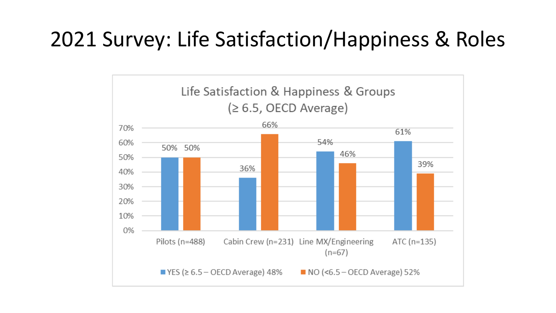#### 2021 Survey: Life Satisfaction/Happiness & Roles

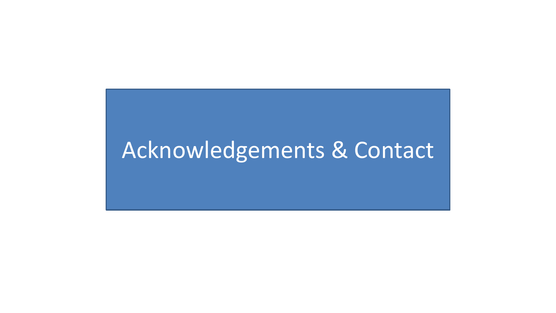#### Acknowledgements & Contact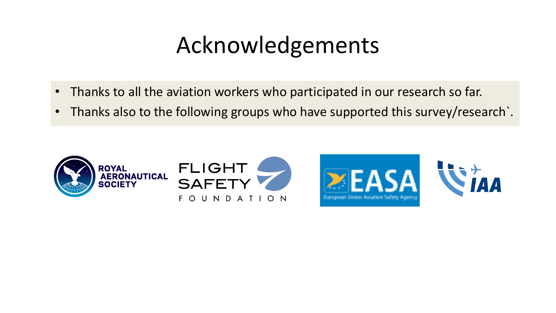## Acknowledgements

- Thanks to all the aviation workers who participated in our research so far.
- Thanks also to the following groups who have supported this survey/research.